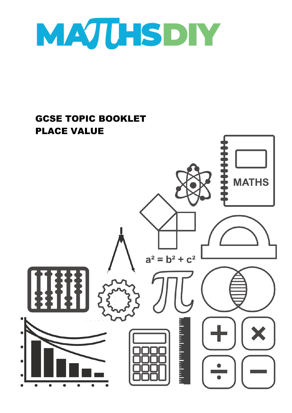

## GCSE TOPIC BOOKLET PLACE VALUE

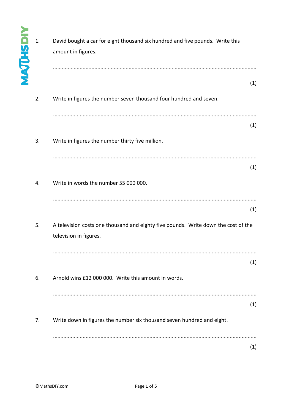| <b>MAJUHSD</b> | 1. | David bought a car for eight thousand six hundred and five pounds. Write this<br>amount in figures.          |     |
|----------------|----|--------------------------------------------------------------------------------------------------------------|-----|
|                | 2. | Write in figures the number seven thousand four hundred and seven.                                           | (1) |
|                |    |                                                                                                              | (1) |
|                | 3. | Write in figures the number thirty five million.<br>                                                         |     |
|                | 4. | Write in words the number 55 000 000.                                                                        | (1) |
|                |    |                                                                                                              | (1) |
|                | 5. | A television costs one thousand and eighty five pounds. Write down the cost of the<br>television in figures. |     |
|                |    |                                                                                                              | (1) |
|                | 6. | Arnold wins £12 000 000. Write this amount in words.                                                         | (1) |
|                | 7. | Write down in figures the number six thousand seven hundred and eight.                                       |     |
|                |    |                                                                                                              | (1) |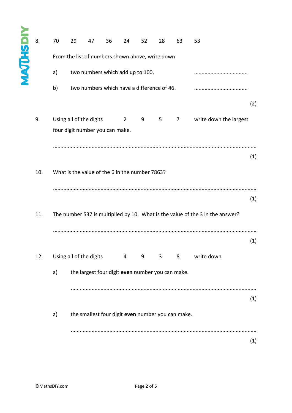## **YIQZHJDAN** 8. 70 29 47 36 24 52 28 63 53 From the list of numbers shown above, write down a) two numbers which add up to 100, .................................... b) two numbers which have a difference of 46. .................................... (2) 9. Using all of the digits  $2 \t 9 \t 5 \t 7$  write down the largest four digit number you can make. ......................................................................................................................................... (1) 10. What is the value of the 6 in the number 7863? ......................................................................................................................................... (1) 11. The number 537 is multiplied by 10. What is the value of the 3 in the answer? ......................................................................................................................................... (1) 12. Using all of the digits  $4$  9 3 8 write down a) the largest four digit **even** number you can make. ............................................................................................................................. (1) a) the smallest four digit **even** number you can make. ............................................................................................................................. (1)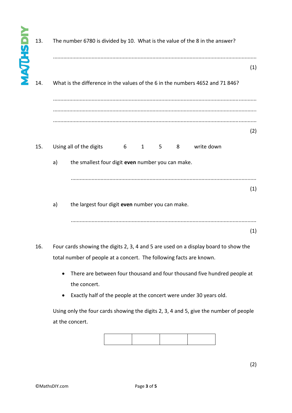| <b>NAQUHSDI</b> | 13. | The number 6780 is divided by 10. What is the value of the 8 in the answer?                     |     |  |  |  |  |  |
|-----------------|-----|-------------------------------------------------------------------------------------------------|-----|--|--|--|--|--|
|                 |     |                                                                                                 | (1) |  |  |  |  |  |
|                 | 14. | What is the difference in the values of the 6 in the numbers 4652 and 71 846?                   |     |  |  |  |  |  |
|                 |     |                                                                                                 |     |  |  |  |  |  |
|                 |     |                                                                                                 | (2) |  |  |  |  |  |
|                 | 15. | write down<br>Using all of the digits<br>$6\overline{6}$<br>$\mathbf{1}$<br>5 <sub>1</sub><br>8 |     |  |  |  |  |  |
|                 |     | the smallest four digit even number you can make.<br>a)                                         |     |  |  |  |  |  |
|                 |     |                                                                                                 | (1) |  |  |  |  |  |
|                 |     | a)<br>the largest four digit even number you can make.                                          |     |  |  |  |  |  |
|                 |     |                                                                                                 | (1) |  |  |  |  |  |
|                 | 16. | Four cards showing the digits 2, 3, 4 and 5 are used on a display board to show the             |     |  |  |  |  |  |
|                 |     | total number of people at a concert. The following facts are known.                             |     |  |  |  |  |  |

- There are between four thousand and four thousand five hundred people at the concert.
- Exactly half of the people at the concert were under 30 years old.

Using only the four cards showing the digits 2, 3, 4 and 5, give the number of people at the concert.

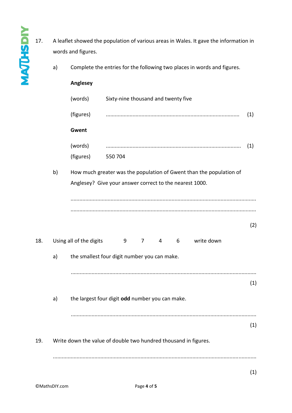- 17. A leaflet showed the population of various areas in Wales. It gave the information in words and figures.
	- a) Complete the entries for the following two places in words and figures.

## **Anglesey**

**MAJUSDIY** 

|     |                                                                                                                                  | (words)   | Sixty-nine thousand and twenty five                                            |     |  |  |
|-----|----------------------------------------------------------------------------------------------------------------------------------|-----------|--------------------------------------------------------------------------------|-----|--|--|
|     |                                                                                                                                  | (figures) |                                                                                | (1) |  |  |
|     |                                                                                                                                  | Gwent     |                                                                                |     |  |  |
|     |                                                                                                                                  | (words)   |                                                                                | (1) |  |  |
|     | b)                                                                                                                               | (figures) | 550 704<br>How much greater was the population of Gwent than the population of |     |  |  |
|     | Anglesey? Give your answer correct to the nearest 1000.                                                                          |           |                                                                                |     |  |  |
|     |                                                                                                                                  |           |                                                                                |     |  |  |
|     |                                                                                                                                  |           |                                                                                | (2) |  |  |
| 18. |                                                                                                                                  |           | write down<br>9<br>$\overline{7}$<br>4 6                                       |     |  |  |
|     | Using all of the digits<br>the smallest four digit number you can make.<br>a)<br>the largest four digit odd number you can make. |           |                                                                                |     |  |  |
|     |                                                                                                                                  |           |                                                                                | (1) |  |  |
|     | a)                                                                                                                               |           |                                                                                |     |  |  |
|     |                                                                                                                                  |           |                                                                                |     |  |  |
|     |                                                                                                                                  |           |                                                                                | (1) |  |  |
| 19. |                                                                                                                                  |           | Write down the value of double two hundred thousand in figures.                |     |  |  |